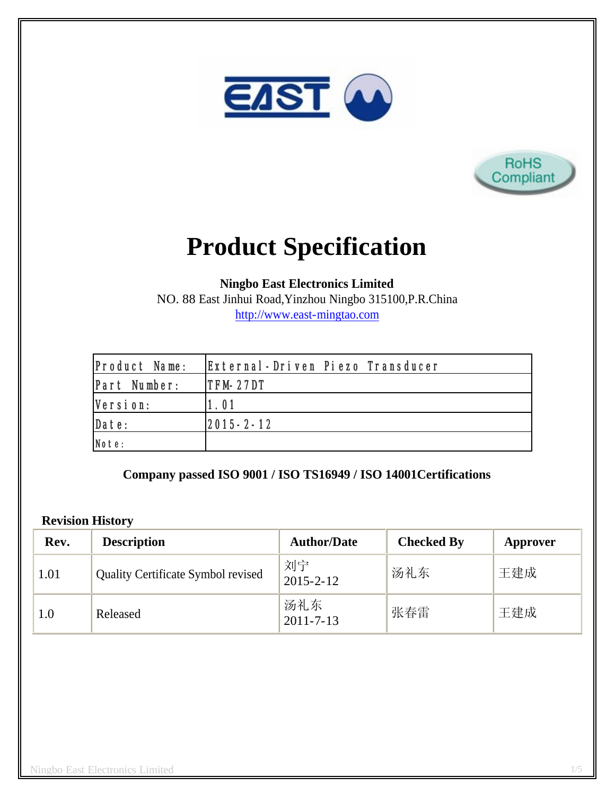



# **Product Specification**

**Ningbo East Electronics Limited**

NO. 88 East Jinhui Road,Yinzhou Ningbo 315100,P.R.China http://www.east-mingtao.com

| Product Name: | External-Driven Piezo Transducer |
|---------------|----------------------------------|
| Part Number:  | ITFM-27DT                        |
| Version:      | 1.01                             |
| Date:         | 2015-2-12                        |
| Note:         |                                  |

**Company passed ISO 9001 / ISO TS16949 / ISO 14001Certifications**

#### **Revision History**

| Rev. | <b>Description</b>                        | <b>Author/Date</b>     | <b>Checked By</b> | Approver |
|------|-------------------------------------------|------------------------|-------------------|----------|
| 1.01 | <b>Quality Certificate Symbol revised</b> | 刘宁<br>$2015 - 2 - 12$  | 汤礼东               | 王建成      |
| 1.0  | Released                                  | 汤礼东<br>$2011 - 7 - 13$ | 张春雷               | 王建成      |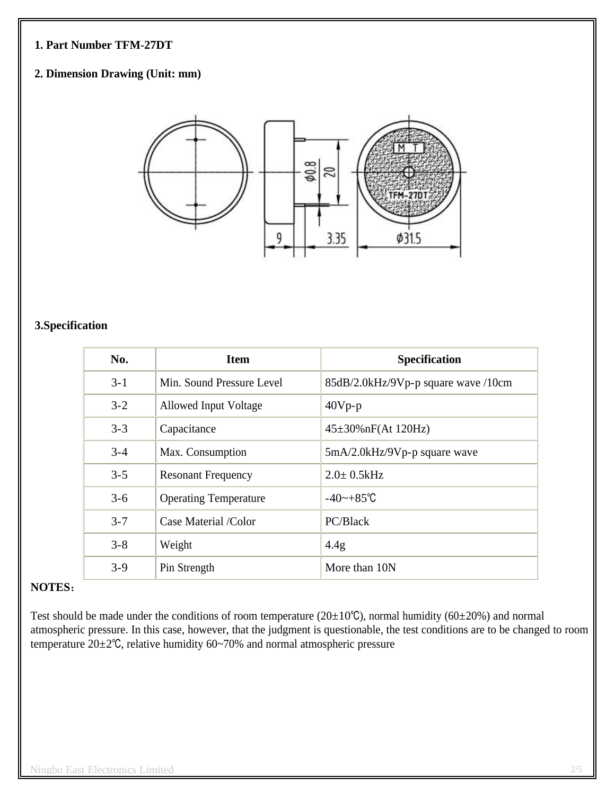#### **1. Part Number TFM-27DT**

## **2. Dimension Drawing (Unit: mm)**



#### **3.Specification**

| No.     | <b>Item</b>                  | <b>Specification</b>                |
|---------|------------------------------|-------------------------------------|
| $3 - 1$ | Min. Sound Pressure Level    | 85dB/2.0kHz/9Vp-p square wave /10cm |
| $3 - 2$ | <b>Allowed Input Voltage</b> | $40Vp-p$                            |
| $3 - 3$ | Capacitance                  | $45\pm30\%$ nF(At 120Hz)            |
| $3 - 4$ | Max. Consumption             | 5mA/2.0kHz/9Vp-p square wave        |
| $3 - 5$ | <b>Resonant Frequency</b>    | $2.0 \pm 0.5$ kHz                   |
| $3 - 6$ | <b>Operating Temperature</b> | $-40$ ~ $+85^{\circ}$ C             |
| $3 - 7$ | Case Material /Color         | PC/Black                            |
| $3 - 8$ | Weight                       | 4.4g                                |
| $3-9$   | Pin Strength                 | More than 10N                       |

## **NOTES**:

Test should be made under the conditions of room temperature ( $20±10°C$ ), normal humidity ( $60±20%$ ) and normal atmospheric pressure. In this case, however, that the judgment is questionable, the test conditions are to be changed to room temperature 20±2℃, relative humidity 60~70% and normal atmospheric pressure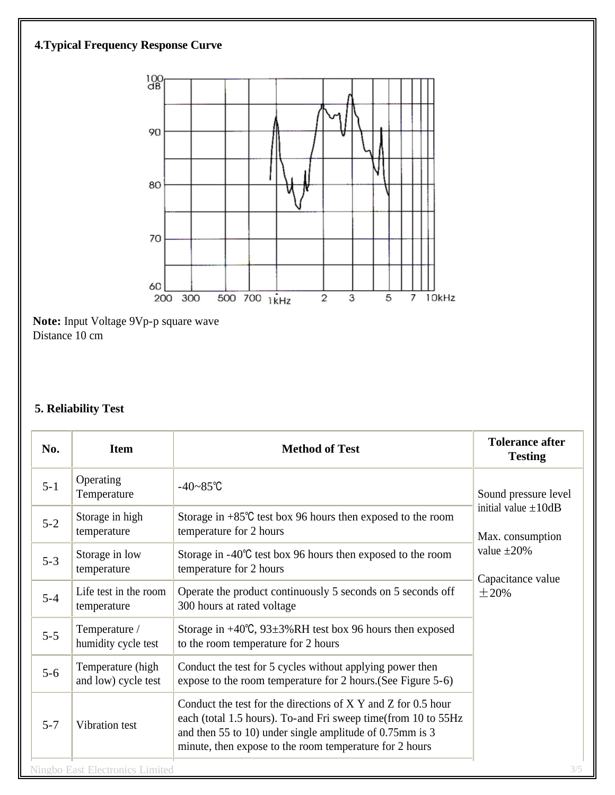# **4.Typical Frequency Response Curve**



**Note:** Input Voltage 9Vp-p square wave Distance 10 cm

# **5. Reliability Test**

| No.     | <b>Item</b>                              | <b>Method of Test</b>                                                                                                                                                                                                                                 | <b>Tolerance after</b><br><b>Testing</b>                                                             |  |
|---------|------------------------------------------|-------------------------------------------------------------------------------------------------------------------------------------------------------------------------------------------------------------------------------------------------------|------------------------------------------------------------------------------------------------------|--|
| $5 - 1$ | Operating<br>Temperature                 | $-40 - 85$ °C                                                                                                                                                                                                                                         | Sound pressure level                                                                                 |  |
| $5 - 2$ | Storage in high<br>temperature           | Storage in $+85^{\circ}$ C test box 96 hours then exposed to the room<br>temperature for 2 hours                                                                                                                                                      | initial value $\pm 10$ dB<br>Max. consumption<br>value $\pm 20\%$<br>Capacitance value<br>$\pm 20\%$ |  |
| $5 - 3$ | Storage in low<br>temperature            | Storage in $-40^{\circ}$ C test box 96 hours then exposed to the room<br>temperature for 2 hours                                                                                                                                                      |                                                                                                      |  |
| $5 - 4$ | Life test in the room<br>temperature     | Operate the product continuously 5 seconds on 5 seconds off<br>300 hours at rated voltage                                                                                                                                                             |                                                                                                      |  |
| $5 - 5$ | Temperature /<br>humidity cycle test     | Storage in $+40^{\circ}$ C, 93 $\pm$ 3%RH test box 96 hours then exposed<br>to the room temperature for 2 hours                                                                                                                                       |                                                                                                      |  |
| $5 - 6$ | Temperature (high<br>and low) cycle test | Conduct the test for 5 cycles without applying power then<br>expose to the room temperature for 2 hours. (See Figure 5-6)                                                                                                                             |                                                                                                      |  |
| $5 - 7$ | Vibration test                           | Conduct the test for the directions of X Y and Z for 0.5 hour<br>each (total 1.5 hours). To-and Fri sweep time(from 10 to 55Hz<br>and then 55 to 10) under single amplitude of 0.75mm is 3<br>minute, then expose to the room temperature for 2 hours |                                                                                                      |  |
|         | <b>Ningbo East Electronics Limited</b>   |                                                                                                                                                                                                                                                       | 3/5                                                                                                  |  |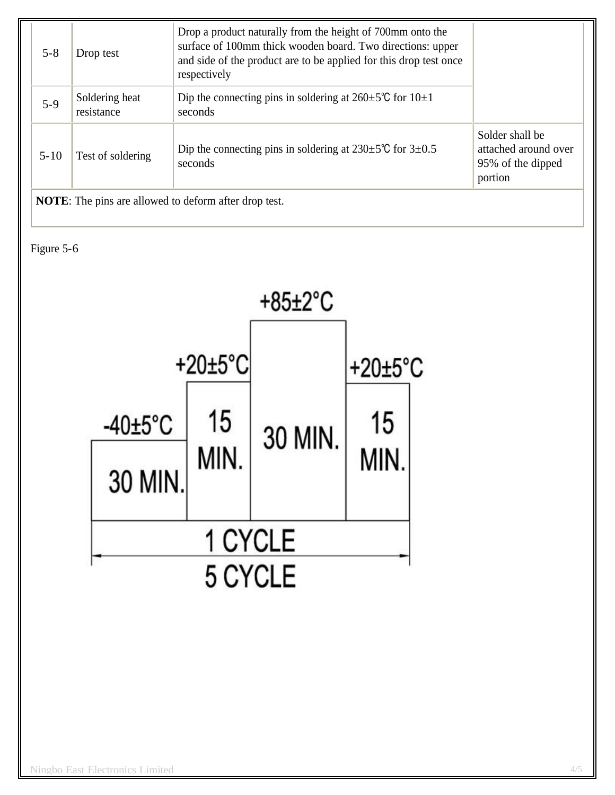| $5 - 8$                                                      | Drop test                    | Drop a product naturally from the height of 700mm onto the<br>surface of 100mm thick wooden board. Two directions: upper<br>and side of the product are to be applied for this drop test once<br>respectively |                                                                         |
|--------------------------------------------------------------|------------------------------|---------------------------------------------------------------------------------------------------------------------------------------------------------------------------------------------------------------|-------------------------------------------------------------------------|
| $5-9$                                                        | Soldering heat<br>resistance | Dip the connecting pins in soldering at $260 \pm 5^{\circ}$ C for $10 \pm 1$<br>seconds                                                                                                                       |                                                                         |
| $5 - 10$                                                     | Test of soldering            | Dip the connecting pins in soldering at $230 \pm 5^{\circ}$ C for $3 \pm 0.5^{\circ}$<br>seconds                                                                                                              | Solder shall be<br>attached around over<br>95% of the dipped<br>portion |
| <b>NOTE:</b> The pins are allowed to deform after drop test. |                              |                                                                                                                                                                                                               |                                                                         |

Figure 5-6